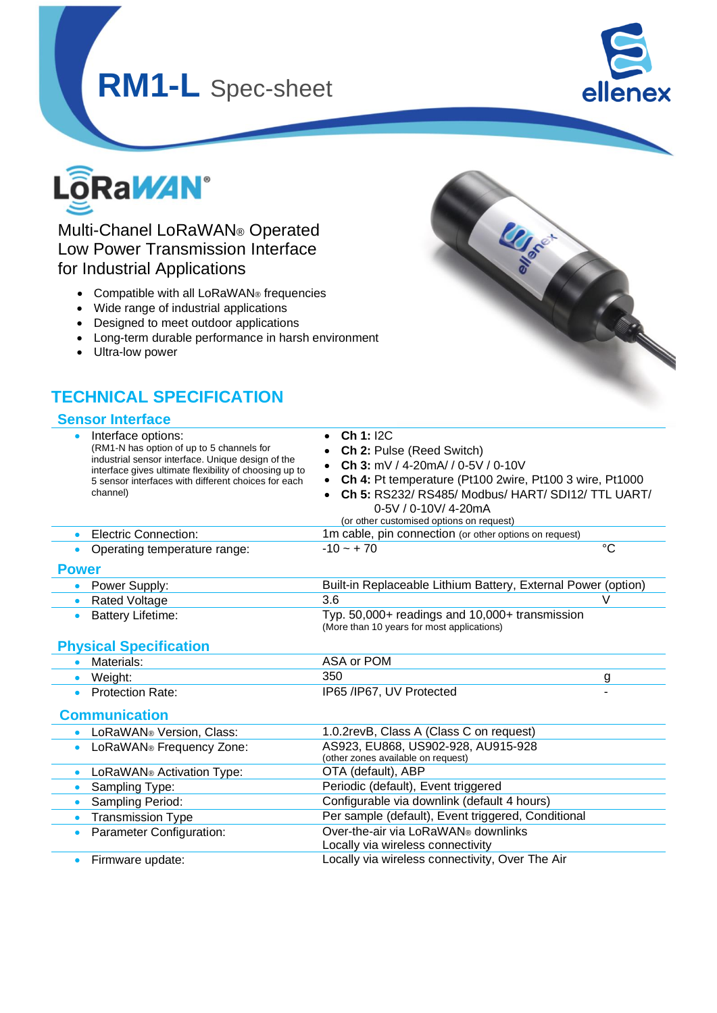# **RM1-L** Spec-sheet



**LLISTED** 



## Multi-Chanel LoRaWAN® Operated Low Power Transmission Interface for Industrial Applications

- Compatible with all LoRaWAN® frequencies
- Wide range of industrial applications
- Designed to meet outdoor applications
- Long-term durable performance in harsh environment
- Ultra-low power

## **TECHNICAL SPECIFICATION**

#### **Sensor Interface**

|                      | Interface options:<br>(RM1-N has option of up to 5 channels for<br>industrial sensor interface. Unique design of the<br>interface gives ultimate flexibility of choosing up to<br>5 sensor interfaces with different choices for each<br>channel) | Ch 1: 12C<br>$\bullet$<br>Ch 2: Pulse (Reed Switch)<br>Ch 3: $mV / 4 - 20mA / 0 - 5V / 0 - 10V$<br>Ch 4: Pt temperature (Pt100 2wire, Pt100 3 wire, Pt1000<br>Ch 5: RS232/ RS485/ Modbus/ HART/ SDI12/ TTL UART/<br>0-5V / 0-10V/ 4-20mA<br>(or other customised options on request) |             |  |  |  |
|----------------------|---------------------------------------------------------------------------------------------------------------------------------------------------------------------------------------------------------------------------------------------------|--------------------------------------------------------------------------------------------------------------------------------------------------------------------------------------------------------------------------------------------------------------------------------------|-------------|--|--|--|
| $\bullet$            | Electric Connection:                                                                                                                                                                                                                              | 1m cable, pin connection (or other options on request)                                                                                                                                                                                                                               |             |  |  |  |
|                      | Operating temperature range:                                                                                                                                                                                                                      | $-10 - +70$                                                                                                                                                                                                                                                                          | $^{\circ}C$ |  |  |  |
| <b>Power</b>         |                                                                                                                                                                                                                                                   |                                                                                                                                                                                                                                                                                      |             |  |  |  |
|                      | Power Supply:                                                                                                                                                                                                                                     | Built-in Replaceable Lithium Battery, External Power (option)                                                                                                                                                                                                                        |             |  |  |  |
| $\bullet$            | <b>Rated Voltage</b>                                                                                                                                                                                                                              | 3.6                                                                                                                                                                                                                                                                                  | V           |  |  |  |
|                      | <b>Battery Lifetime:</b>                                                                                                                                                                                                                          | Typ. 50,000+ readings and 10,000+ transmission<br>(More than 10 years for most applications)                                                                                                                                                                                         |             |  |  |  |
|                      | <b>Physical Specification</b>                                                                                                                                                                                                                     |                                                                                                                                                                                                                                                                                      |             |  |  |  |
|                      | Materials:                                                                                                                                                                                                                                        | ASA or POM                                                                                                                                                                                                                                                                           |             |  |  |  |
| $\bullet$            | Weight:                                                                                                                                                                                                                                           | 350                                                                                                                                                                                                                                                                                  | g           |  |  |  |
| $\bullet$            | <b>Protection Rate:</b>                                                                                                                                                                                                                           | IP65 /IP67, UV Protected                                                                                                                                                                                                                                                             |             |  |  |  |
| <b>Communication</b> |                                                                                                                                                                                                                                                   |                                                                                                                                                                                                                                                                                      |             |  |  |  |
|                      | LoRaWAN® Version, Class:                                                                                                                                                                                                                          | 1.0.2revB, Class A (Class C on request)                                                                                                                                                                                                                                              |             |  |  |  |
| $\bullet$            | LoRaWAN® Frequency Zone:                                                                                                                                                                                                                          | AS923, EU868, US902-928, AU915-928<br>(other zones available on request)                                                                                                                                                                                                             |             |  |  |  |
| $\bullet$            | LoRaWAN® Activation Type:                                                                                                                                                                                                                         | OTA (default), ABP                                                                                                                                                                                                                                                                   |             |  |  |  |
| $\bullet$            | Sampling Type:                                                                                                                                                                                                                                    | Periodic (default), Event triggered                                                                                                                                                                                                                                                  |             |  |  |  |
| $\bullet$            | Sampling Period:                                                                                                                                                                                                                                  | Configurable via downlink (default 4 hours)                                                                                                                                                                                                                                          |             |  |  |  |
| $\bullet$            | <b>Transmission Type</b>                                                                                                                                                                                                                          | Per sample (default), Event triggered, Conditional                                                                                                                                                                                                                                   |             |  |  |  |
|                      | Parameter Configuration:                                                                                                                                                                                                                          | Over-the-air via LoRaWAN® downlinks<br>Locally via wireless connectivity                                                                                                                                                                                                             |             |  |  |  |
|                      |                                                                                                                                                                                                                                                   |                                                                                                                                                                                                                                                                                      |             |  |  |  |

• Firmware update: Locally via wireless connectivity, Over The Air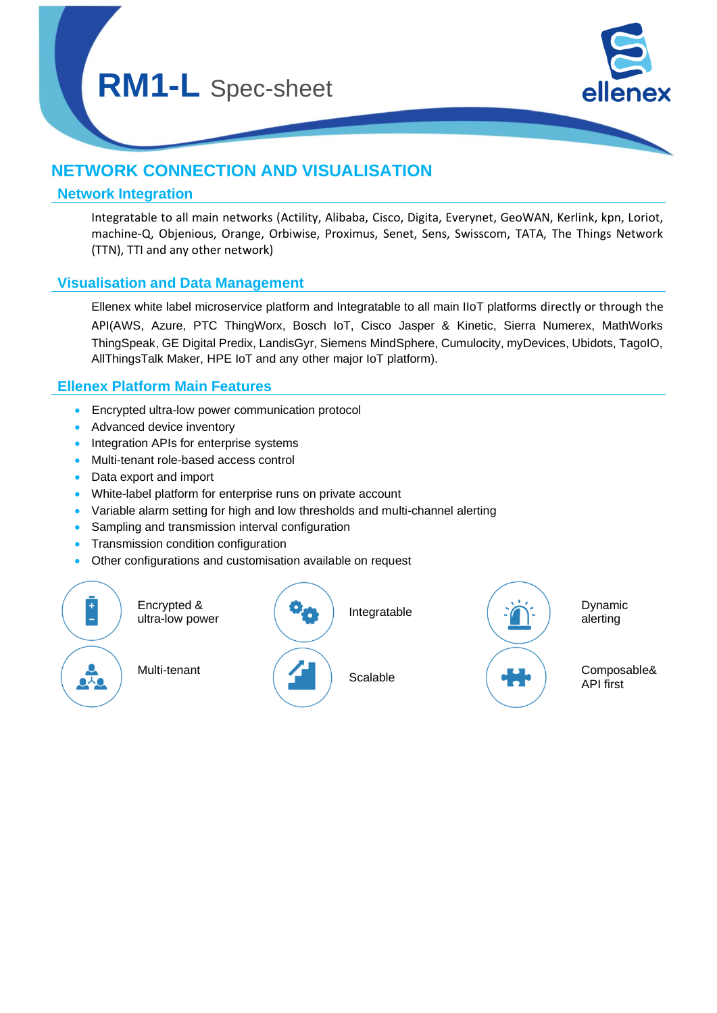

## **NETWORK CONNECTION AND VISUALISATION**

#### **Network Integration**

Integratable to all main networks (Actility, Alibaba, Cisco, Digita, Everynet, GeoWAN, Kerlink, kpn, Loriot, machine-Q, Objenious, Orange, Orbiwise, Proximus, Senet, Sens, Swisscom, TATA, The Things Network (TTN), TTI and any other network)

#### **Visualisation and Data Management**

Ellenex white label microservice platform and Integratable to all main IIoT platforms directly or through the API(AWS, Azure, PTC ThingWorx, Bosch IoT, Cisco Jasper & Kinetic, Sierra Numerex, MathWorks ThingSpeak, GE Digital Predix, LandisGyr, Siemens MindSphere, Cumulocity, myDevices, Ubidots, TagoIO, AllThingsTalk Maker, HPE IoT and any other major IoT platform).

#### **Ellenex Platform Main Features**

- Encrypted ultra-low power communication protocol
- Advanced device inventory
- Integration APIs for enterprise systems
- Multi-tenant role-based access control
- Data export and import
- White-label platform for enterprise runs on private account
- Variable alarm setting for high and low thresholds and multi-channel alerting
- Sampling and transmission interval configuration
- Transmission condition configuration
- Other configurations and customisation available on request

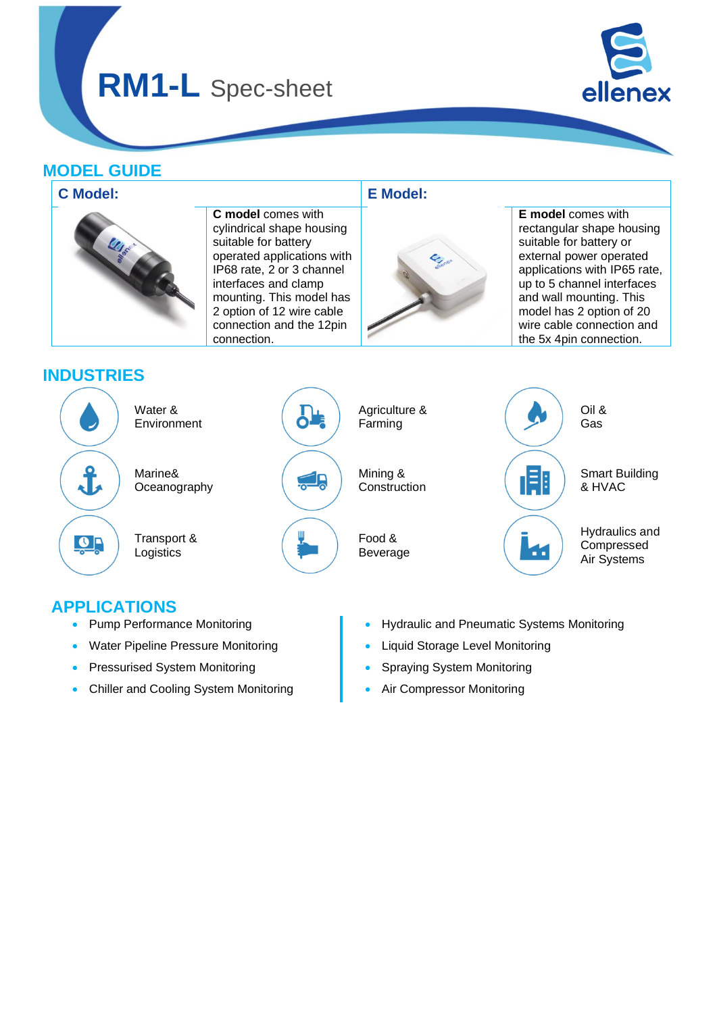## **RM1-L** Spec-sheet



## **MODEL GUIDE**



## **APPLICATIONS**

- Pump Performance Monitoring
- Water Pipeline Pressure Monitoring
- Pressurised System Monitoring
- Chiller and Cooling System Monitoring
- Hydraulic and Pneumatic Systems Monitoring
- Liquid Storage Level Monitoring
- Spraying System Monitoring
- Air Compressor Monitoring